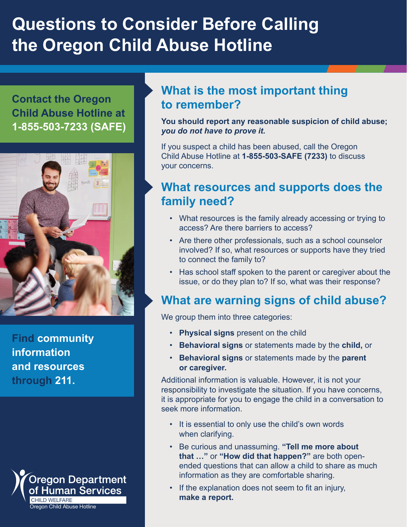# **Questions to Consider Before Calling the Oregon Child Abuse Hotline**

**Contact the Oregon Child Abuse Hotline at 1-855-503-7233 (SAFE)**



**[Find community](https://www.211info.org/)  [information](https://www.211info.org/)  [and resources](https://www.211info.org/) [through 211.](https://www.211info.org/)**



## **What is the most important thing to remember?**

**You should report any reasonable suspicion of child abuse;**  *you do not have to prove it.*

If you suspect a child has been abused, call the Oregon Child Abuse Hotline at **1-855-503-SAFE (7233)** to discuss your concerns.

# **What resources and supports does the family need?**

- What resources is the family already accessing or trying to access? Are there barriers to access?
- Are there other professionals, such as a school counselor involved? If so, what resources or supports have they tried to connect the family to?
- Has school staff spoken to the parent or caregiver about the issue, or do they plan to? If so, what was their response?

# **What are warning signs of child abuse?**

We group them into three categories:

- **Physical signs** present on the child
- **Behavioral signs** or statements made by the **child,** or
- **Behavioral signs** or statements made by the **parent or caregiver.**

Additional information is valuable. However, it is not your responsibility to investigate the situation. If you have concerns, it is appropriate for you to engage the child in a conversation to seek more information.

- It is essential to only use the child's own words when clarifying.
- Be curious and unassuming. **"Tell me more about that …"** or **"How did that happen?"** are both openended questions that can allow a child to share as much information as they are comfortable sharing.
- If the explanation does not seem to fit an injury, **make a report.**